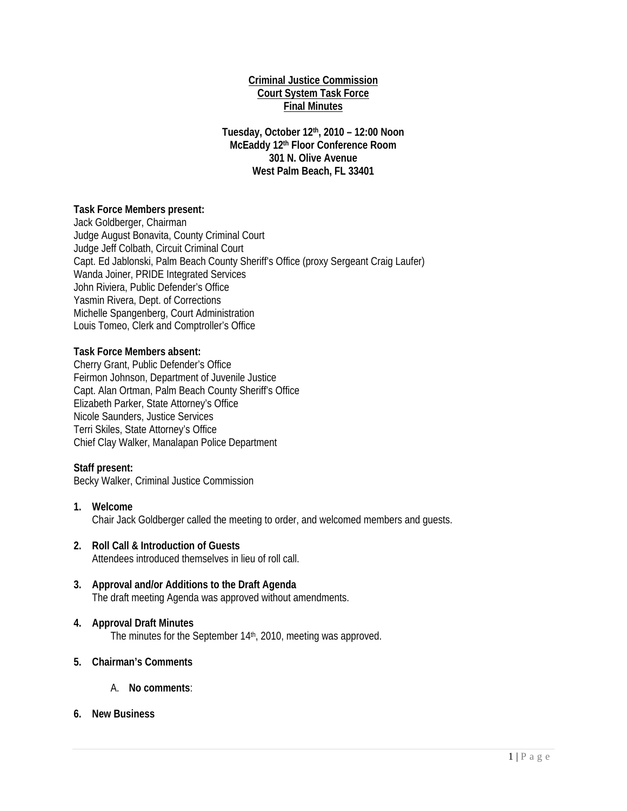### **Criminal Justice Commission Court System Task Force Final Minutes**

**Tuesday, October 12th, 2010 – 12:00 Noon McEaddy 12th Floor Conference Room 301 N. Olive Avenue West Palm Beach, FL 33401** 

## **Task Force Members present:**

Jack Goldberger, Chairman Judge August Bonavita, County Criminal Court Judge Jeff Colbath, Circuit Criminal Court Capt. Ed Jablonski, Palm Beach County Sheriff's Office (proxy Sergeant Craig Laufer) Wanda Joiner, PRIDE Integrated Services John Riviera, Public Defender's Office Yasmin Rivera, Dept. of Corrections Michelle Spangenberg, Court Administration Louis Tomeo, Clerk and Comptroller's Office

## **Task Force Members absent:**

Cherry Grant, Public Defender's Office Feirmon Johnson, Department of Juvenile Justice Capt. Alan Ortman, Palm Beach County Sheriff's Office Elizabeth Parker, State Attorney's Office Nicole Saunders, Justice Services Terri Skiles, State Attorney's Office Chief Clay Walker, Manalapan Police Department

### **Staff present:**

Becky Walker, Criminal Justice Commission

- **1. Welcome**  Chair Jack Goldberger called the meeting to order, and welcomed members and guests.
- **2. Roll Call & Introduction of Guests**  Attendees introduced themselves in lieu of roll call.
- **3. Approval and/or Additions to the Draft Agenda**  The draft meeting Agenda was approved without amendments.

# **4. Approval Draft Minutes**

The minutes for the September 14<sup>th</sup>, 2010, meeting was approved.

## **5. Chairman's Comments**

A. **No comments**:

### **6. New Business**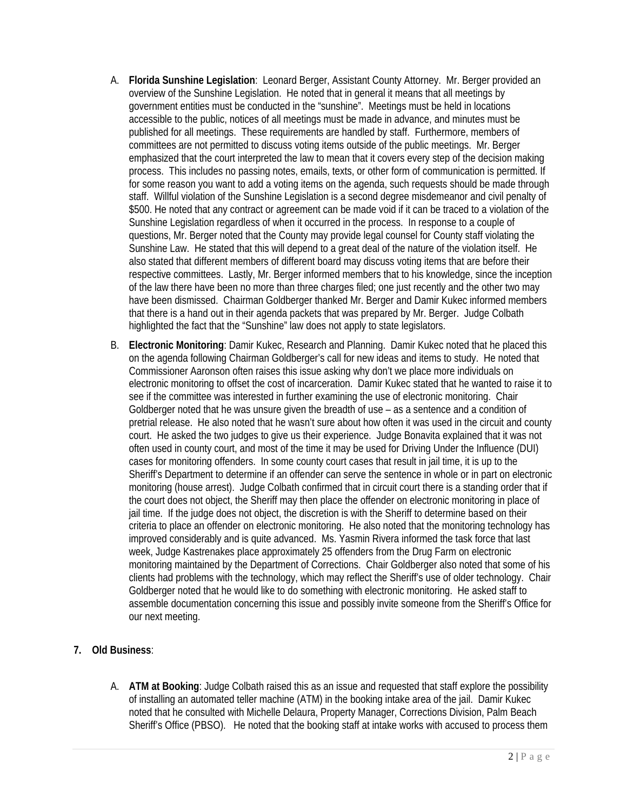- A. **Florida Sunshine Legislation**: Leonard Berger, Assistant County Attorney. Mr. Berger provided an overview of the Sunshine Legislation. He noted that in general it means that all meetings by government entities must be conducted in the "sunshine". Meetings must be held in locations accessible to the public, notices of all meetings must be made in advance, and minutes must be published for all meetings. These requirements are handled by staff. Furthermore, members of committees are not permitted to discuss voting items outside of the public meetings. Mr. Berger emphasized that the court interpreted the law to mean that it covers every step of the decision making process. This includes no passing notes, emails, texts, or other form of communication is permitted. If for some reason you want to add a voting items on the agenda, such requests should be made through staff. Willful violation of the Sunshine Legislation is a second degree misdemeanor and civil penalty of \$500. He noted that any contract or agreement can be made void if it can be traced to a violation of the Sunshine Legislation regardless of when it occurred in the process. In response to a couple of questions, Mr. Berger noted that the County may provide legal counsel for County staff violating the Sunshine Law. He stated that this will depend to a great deal of the nature of the violation itself. He also stated that different members of different board may discuss voting items that are before their respective committees. Lastly, Mr. Berger informed members that to his knowledge, since the inception of the law there have been no more than three charges filed; one just recently and the other two may have been dismissed. Chairman Goldberger thanked Mr. Berger and Damir Kukec informed members that there is a hand out in their agenda packets that was prepared by Mr. Berger. Judge Colbath highlighted the fact that the "Sunshine" law does not apply to state legislators.
- B. **Electronic Monitoring**: Damir Kukec, Research and Planning. Damir Kukec noted that he placed this on the agenda following Chairman Goldberger's call for new ideas and items to study. He noted that Commissioner Aaronson often raises this issue asking why don't we place more individuals on electronic monitoring to offset the cost of incarceration. Damir Kukec stated that he wanted to raise it to see if the committee was interested in further examining the use of electronic monitoring. Chair Goldberger noted that he was unsure given the breadth of use – as a sentence and a condition of pretrial release. He also noted that he wasn't sure about how often it was used in the circuit and county court. He asked the two judges to give us their experience. Judge Bonavita explained that it was not often used in county court, and most of the time it may be used for Driving Under the Influence (DUI) cases for monitoring offenders. In some county court cases that result in jail time, it is up to the Sheriff's Department to determine if an offender can serve the sentence in whole or in part on electronic monitoring (house arrest). Judge Colbath confirmed that in circuit court there is a standing order that if the court does not object, the Sheriff may then place the offender on electronic monitoring in place of jail time. If the judge does not object, the discretion is with the Sheriff to determine based on their criteria to place an offender on electronic monitoring. He also noted that the monitoring technology has improved considerably and is quite advanced. Ms. Yasmin Rivera informed the task force that last week, Judge Kastrenakes place approximately 25 offenders from the Drug Farm on electronic monitoring maintained by the Department of Corrections. Chair Goldberger also noted that some of his clients had problems with the technology, which may reflect the Sheriff's use of older technology. Chair Goldberger noted that he would like to do something with electronic monitoring. He asked staff to assemble documentation concerning this issue and possibly invite someone from the Sheriff's Office for our next meeting.
- **7. Old Business**:
	- A. **ATM at Booking**: Judge Colbath raised this as an issue and requested that staff explore the possibility of installing an automated teller machine (ATM) in the booking intake area of the jail. Damir Kukec noted that he consulted with Michelle Delaura, Property Manager, Corrections Division, Palm Beach Sheriff's Office (PBSO). He noted that the booking staff at intake works with accused to process them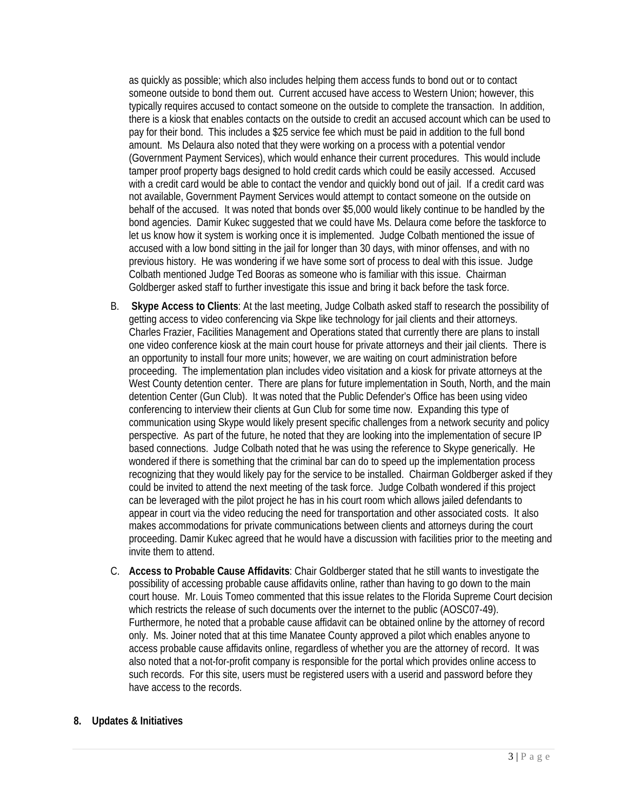as quickly as possible; which also includes helping them access funds to bond out or to contact someone outside to bond them out. Current accused have access to Western Union; however, this typically requires accused to contact someone on the outside to complete the transaction. In addition, there is a kiosk that enables contacts on the outside to credit an accused account which can be used to pay for their bond. This includes a \$25 service fee which must be paid in addition to the full bond amount. Ms Delaura also noted that they were working on a process with a potential vendor (Government Payment Services), which would enhance their current procedures. This would include tamper proof property bags designed to hold credit cards which could be easily accessed. Accused with a credit card would be able to contact the vendor and quickly bond out of jail. If a credit card was not available, Government Payment Services would attempt to contact someone on the outside on behalf of the accused. It was noted that bonds over \$5,000 would likely continue to be handled by the bond agencies. Damir Kukec suggested that we could have Ms. Delaura come before the taskforce to let us know how it system is working once it is implemented. Judge Colbath mentioned the issue of accused with a low bond sitting in the jail for longer than 30 days, with minor offenses, and with no previous history. He was wondering if we have some sort of process to deal with this issue. Judge Colbath mentioned Judge Ted Booras as someone who is familiar with this issue. Chairman Goldberger asked staff to further investigate this issue and bring it back before the task force.

- B. **Skype Access to Clients**: At the last meeting, Judge Colbath asked staff to research the possibility of getting access to video conferencing via Skpe like technology for jail clients and their attorneys. Charles Frazier, Facilities Management and Operations stated that currently there are plans to install one video conference kiosk at the main court house for private attorneys and their jail clients. There is an opportunity to install four more units; however, we are waiting on court administration before proceeding. The implementation plan includes video visitation and a kiosk for private attorneys at the West County detention center. There are plans for future implementation in South, North, and the main detention Center (Gun Club). It was noted that the Public Defender's Office has been using video conferencing to interview their clients at Gun Club for some time now. Expanding this type of communication using Skype would likely present specific challenges from a network security and policy perspective. As part of the future, he noted that they are looking into the implementation of secure IP based connections. Judge Colbath noted that he was using the reference to Skype generically. He wondered if there is something that the criminal bar can do to speed up the implementation process recognizing that they would likely pay for the service to be installed. Chairman Goldberger asked if they could be invited to attend the next meeting of the task force. Judge Colbath wondered if this project can be leveraged with the pilot project he has in his court room which allows jailed defendants to appear in court via the video reducing the need for transportation and other associated costs. It also makes accommodations for private communications between clients and attorneys during the court proceeding. Damir Kukec agreed that he would have a discussion with facilities prior to the meeting and invite them to attend.
- C. **Access to Probable Cause Affidavits**: Chair Goldberger stated that he still wants to investigate the possibility of accessing probable cause affidavits online, rather than having to go down to the main court house. Mr. Louis Tomeo commented that this issue relates to the Florida Supreme Court decision which restricts the release of such documents over the internet to the public (AOSC07-49). Furthermore, he noted that a probable cause affidavit can be obtained online by the attorney of record only. Ms. Joiner noted that at this time Manatee County approved a pilot which enables anyone to access probable cause affidavits online, regardless of whether you are the attorney of record. It was also noted that a not-for-profit company is responsible for the portal which provides online access to such records. For this site, users must be registered users with a userid and password before they have access to the records.

# **8. Updates & Initiatives**